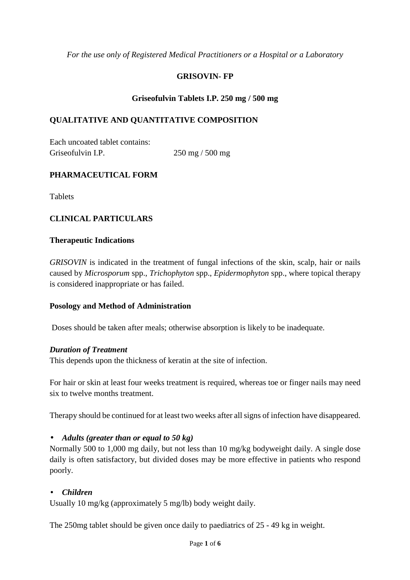*For the use only of Registered Medical Practitioners or a Hospital or a Laboratory* 

### **GRISOVIN- FP**

### **Griseofulvin Tablets I.P. 250 mg / 500 mg**

### **QUALITATIVE AND QUANTITATIVE COMPOSITION**

Each uncoated tablet contains: Griseofulvin I.P. 250 mg / 500 mg

### **PHARMACEUTICAL FORM**

**Tablets** 

# **CLINICAL PARTICULARS**

#### **Therapeutic Indications**

*GRISOVIN* is indicated in the treatment of fungal infections of the skin, scalp, hair or nails caused by *Microsporum* spp., *Trichophyton* spp., *Epidermophyton* spp., where topical therapy is considered inappropriate or has failed.

### **Posology and Method of Administration**

Doses should be taken after meals; otherwise absorption is likely to be inadequate.

#### *Duration of Treatment*

This depends upon the thickness of keratin at the site of infection.

For hair or skin at least four weeks treatment is required, whereas toe or finger nails may need six to twelve months treatment.

Therapy should be continued for at least two weeks after all signs of infection have disappeared.

### • *Adults (greater than or equal to 50 kg)*

Normally 500 to 1,000 mg daily, but not less than 10 mg/kg bodyweight daily. A single dose daily is often satisfactory, but divided doses may be more effective in patients who respond poorly.

### • *Children*

Usually 10 mg/kg (approximately 5 mg/lb) body weight daily.

The 250mg tablet should be given once daily to paediatrics of 25 - 49 kg in weight.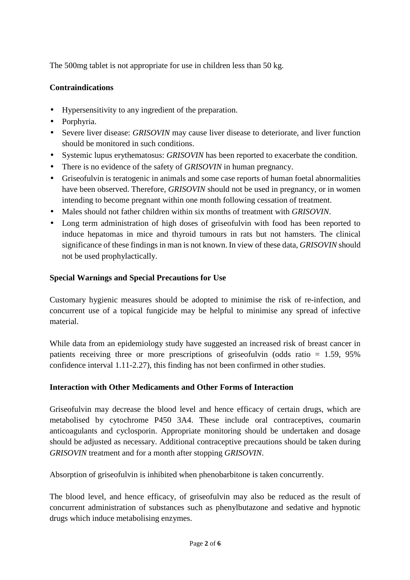The 500mg tablet is not appropriate for use in children less than 50 kg.

# **Contraindications**

- Hypersensitivity to any ingredient of the preparation.
- Porphyria.
- Severe liver disease: *GRISOVIN* may cause liver disease to deteriorate, and liver function should be monitored in such conditions.
- Systemic lupus erythematosus: *GRISOVIN* has been reported to exacerbate the condition.
- There is no evidence of the safety of *GRISOVIN* in human pregnancy.
- Griseofulvin is teratogenic in animals and some case reports of human foetal abnormalities have been observed. Therefore, *GRISOVIN* should not be used in pregnancy, or in women intending to become pregnant within one month following cessation of treatment.
- Males should not father children within six months of treatment with *GRISOVIN*.
- Long term administration of high doses of griseofulvin with food has been reported to induce hepatomas in mice and thyroid tumours in rats but not hamsters. The clinical significance of these findings in man is not known. In view of these data, *GRISOVIN* should not be used prophylactically.

# **Special Warnings and Special Precautions for Use**

Customary hygienic measures should be adopted to minimise the risk of re-infection, and concurrent use of a topical fungicide may be helpful to minimise any spread of infective material.

While data from an epidemiology study have suggested an increased risk of breast cancer in patients receiving three or more prescriptions of griseofulvin (odds ratio = 1.59, 95% confidence interval 1.11-2.27), this finding has not been confirmed in other studies.

# **Interaction with Other Medicaments and Other Forms of Interaction**

Griseofulvin may decrease the blood level and hence efficacy of certain drugs, which are metabolised by cytochrome P450 3A4. These include oral contraceptives, coumarin anticoagulants and cyclosporin. Appropriate monitoring should be undertaken and dosage should be adjusted as necessary. Additional contraceptive precautions should be taken during *GRISOVIN* treatment and for a month after stopping *GRISOVIN*.

Absorption of griseofulvin is inhibited when phenobarbitone is taken concurrently.

The blood level, and hence efficacy, of griseofulvin may also be reduced as the result of concurrent administration of substances such as phenylbutazone and sedative and hypnotic drugs which induce metabolising enzymes.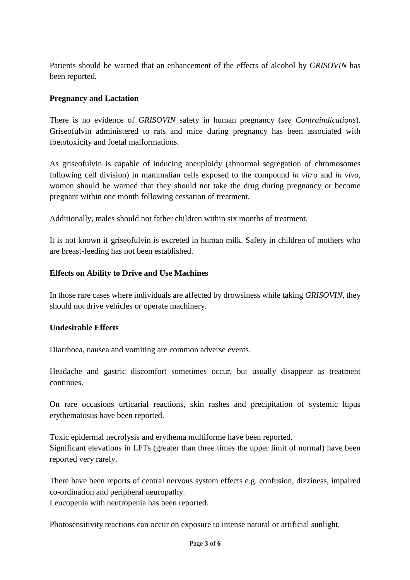Patients should be warned that an enhancement of the effects of alcohol by *GRISOVIN* has been reported.

### **Pregnancy and Lactation**

There is no evidence of *GRISOVIN* safety in human pregnancy (*see Contraindications*). Griseofulvin administered to rats and mice during pregnancy has been associated with foetotoxicity and foetal malformations.

As griseofulvin is capable of inducing aneuploidy (abnormal segregation of chromosomes following cell division) in mammalian cells exposed to the compound *in vitro* and *in vivo*, women should be warned that they should not take the drug during pregnancy or become pregnant within one month following cessation of treatment.

Additionally, males should not father children within six months of treatment.

It is not known if griseofulvin is excreted in human milk. Safety in children of mothers who are breast-feeding has not been established.

### **Effects on Ability to Drive and Use Machines**

In those rare cases where individuals are affected by drowsiness while taking *GRISOVIN*, they should not drive vehicles or operate machinery.

# **Undesirable Effects**

Diarrhoea, nausea and vomiting are common adverse events.

Headache and gastric discomfort sometimes occur, but usually disappear as treatment continues.

On rare occasions urticarial reactions, skin rashes and precipitation of systemic lupus erythematosus have been reported.

Toxic epidermal necrolysis and erythema multiforme have been reported. Significant elevations in LFTs (greater than three times the upper limit of normal) have been reported very rarely.

There have been reports of central nervous system effects e.g. confusion, dizziness, impaired co-ordination and peripheral neuropathy.

Leucopenia with neutropenia has been reported.

Photosensitivity reactions can occur on exposure to intense natural or artificial sunlight.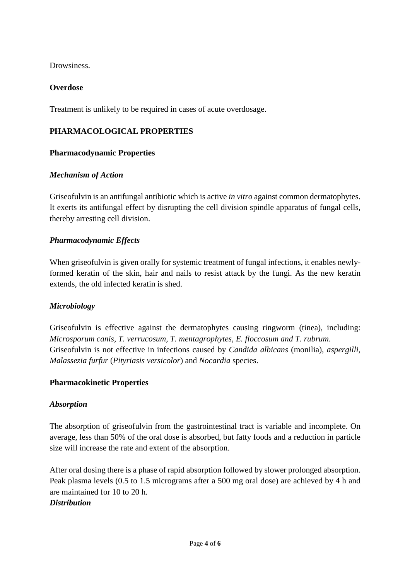Drowsiness.

### **Overdose**

Treatment is unlikely to be required in cases of acute overdosage.

### **PHARMACOLOGICAL PROPERTIES**

### **Pharmacodynamic Properties**

### *Mechanism of Action*

Griseofulvin is an antifungal antibiotic which is active *in vitro* against common dermatophytes. It exerts its antifungal effect by disrupting the cell division spindle apparatus of fungal cells, thereby arresting cell division.

### *Pharmacodynamic Effects*

When griseofulvin is given orally for systemic treatment of fungal infections, it enables newlyformed keratin of the skin, hair and nails to resist attack by the fungi. As the new keratin extends, the old infected keratin is shed.

### *Microbiology*

Griseofulvin is effective against the dermatophytes causing ringworm (tinea), including: *Microsporum canis, T. verrucosum, T. mentagrophytes, E. floccosum and T. rubrum*. Griseofulvin is not effective in infections caused by *Candida albicans* (monilia), *aspergilli, Malassezia furfur* (*Pityriasis versicolor*) and *Nocardia* species.

### **Pharmacokinetic Properties**

### *Absorption*

The absorption of griseofulvin from the gastrointestinal tract is variable and incomplete. On average, less than 50% of the oral dose is absorbed, but fatty foods and a reduction in particle size will increase the rate and extent of the absorption.

After oral dosing there is a phase of rapid absorption followed by slower prolonged absorption. Peak plasma levels (0.5 to 1.5 micrograms after a 500 mg oral dose) are achieved by 4 h and are maintained for 10 to 20 h.

# *Distribution*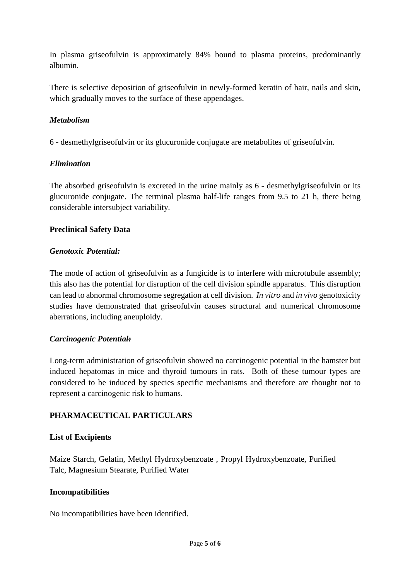In plasma griseofulvin is approximately 84% bound to plasma proteins, predominantly albumin.

There is selective deposition of griseofulvin in newly-formed keratin of hair, nails and skin, which gradually moves to the surface of these appendages.

### *Metabolism*

6 - desmethylgriseofulvin or its glucuronide conjugate are metabolites of griseofulvin.

### *Elimination*

The absorbed griseofulvin is excreted in the urine mainly as 6 - desmethylgriseofulvin or its glucuronide conjugate. The terminal plasma half-life ranges from 9.5 to 21 h, there being considerable intersubject variability.

### **Preclinical Safety Data**

### *Genotoxic Potential:*

The mode of action of griseofulvin as a fungicide is to interfere with microtubule assembly; this also has the potential for disruption of the cell division spindle apparatus. This disruption can lead to abnormal chromosome segregation at cell division. *In vitro* and *in vivo* genotoxicity studies have demonstrated that griseofulvin causes structural and numerical chromosome aberrations, including aneuploidy.

### *Carcinogenic Potential:*

Long-term administration of griseofulvin showed no carcinogenic potential in the hamster but induced hepatomas in mice and thyroid tumours in rats. Both of these tumour types are considered to be induced by species specific mechanisms and therefore are thought not to represent a carcinogenic risk to humans.

### **PHARMACEUTICAL PARTICULARS**

### **List of Excipients**

Maize Starch, Gelatin, Methyl Hydroxybenzoate , Propyl Hydroxybenzoate, Purified Talc, Magnesium Stearate, Purified Water

### **Incompatibilities**

No incompatibilities have been identified.